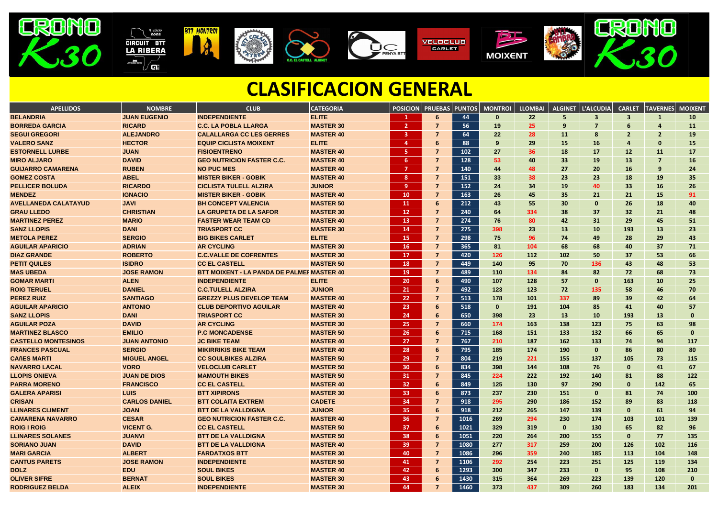| <b>APELLIDOS</b>            | <b>NOMBRE</b>        | <b>CLUB</b>                                       | <b>CATEGORIA</b> | <b>POSICION</b>         | <b>PRUEBAS</b> | <b>PUNTOS</b> | <b>MONTROI</b> | <b>LLOMBAI</b> | <b>ALGINET</b>  | L'ALCUDIA    | <b>CARLET</b>           | <b>TAVERNES</b> | <b>MOIXENT</b> |
|-----------------------------|----------------------|---------------------------------------------------|------------------|-------------------------|----------------|---------------|----------------|----------------|-----------------|--------------|-------------------------|-----------------|----------------|
| <b>BELANDRIA</b>            | <b>JUAN EUGENIO</b>  | <b>INDEPENDIENTE</b>                              | <b>ELITE</b>     | $\mathbf{1}$            | 6              | 44            | $\mathbf{0}$   | 22             | 5               | $\mathbf{3}$ | $\overline{\mathbf{3}}$ | $\mathbf{1}$    | 10             |
| <b>BORREDA GARCIA</b>       | <b>RICARD</b>        | <b>C.C. LA POBLA LLARGA</b>                       | <b>MASTER 30</b> | $\overline{2}$          | -7             | 56            | 19             | 25             | 9               | -7           | 6                       | 4               | <b>11</b>      |
| <b>SEGUI GREGORI</b>        | <b>ALEJANDRO</b>     | <b>CALALLARGA CC LES GERRES</b>                   | <b>MASTER 40</b> | $\overline{\mathbf{3}}$ | 7              | 64            | 22             | <b>28</b>      | <b>11</b>       | 8            | $\overline{2}$          | $\overline{2}$  | 19             |
| <b>VALERO SANZ</b>          | <b>HECTOR</b>        | <b>EQUIP CICLISTA MOIXENT</b>                     | <b>ELITE</b>     | $\overline{4}$          | 6              | 88            | 9              | 29             | <b>15</b>       | <b>16</b>    | $\overline{a}$          | $\mathbf{0}$    | 15             |
| <b>ESTORNELL LURBE</b>      | <b>JUAN</b>          | <b>FISIOENTRENO</b>                               | <b>MASTER 40</b> | $-5$                    | $\overline{7}$ | 102           | 27             | 36             | 18              | <b>17</b>    | 12                      | 11              | 17             |
| <b>MIRO ALJARO</b>          | <b>DAVID</b>         | <b>GEO NUTRICION FASTER C.C.</b>                  | <b>MASTER 40</b> | $6^{\circ}$             | $\overline{7}$ | 128           | 53             | 40             | 33 <sup>2</sup> | <b>19</b>    | 13                      | $\overline{7}$  | <b>16</b>      |
| <b>GUIJARRO CAMARENA</b>    | <b>RUBEN</b>         | <b>NO PUC MES</b>                                 | <b>MASTER 40</b> | $\overline{7}$          | $\overline{7}$ | 140           | 44             | 48             | 27              | 20           | 16                      | 9               | 24             |
| <b>GOMEZ COSTA</b>          | <b>ABEL</b>          | <b>MISTER BIKER - GOBIK</b>                       | <b>MASTER 40</b> | 8 <sup>8</sup>          | 7              | 151           | 33             | 38             | 23              | 23           | 18                      | 19              | 35             |
| <b>PELLICER BOLUDA</b>      | <b>RICARDO</b>       | <b>CICLISTA TULELL ALZIRA</b>                     | <b>JUNIOR</b>    | 9                       | $\overline{7}$ | 152           | 24             | 34             | <b>19</b>       | 40           | 33                      | <b>16</b>       | 26             |
| <b>MENDEZ</b>               | <b>IGNACIO</b>       | <b>MISTER BIKER - GOBIK</b>                       | <b>MASTER 40</b> | <b>10</b>               | 7              | 163           | 26             | 45             | 35 <sub>2</sub> | 21           | 21                      | <b>15</b>       | 91             |
| <b>AVELLANEDA CALATAYUD</b> | <b>JAVI</b>          | <b>BH CONCEPT VALENCIA</b>                        | <b>MASTER 50</b> | $\mathbf{11}$           | 6              | 212           | 43             | 55             | 30 <sup>°</sup> | 0            | 26                      | 18              | 40             |
| <b>GRAU LLEDO</b>           | <b>CHRISTIAN</b>     | <b>LA GRUPETA DE LA SAFOR</b>                     | <b>MASTER 30</b> | 12                      | -7             | 240           | 64             | 334            | 38              | 37           | 32 <sub>2</sub>         | 21              | 48             |
| <b>MARTINEZ PEREZ</b>       | <b>MARIO</b>         | <b>FASTER WEAR TEAM CD</b>                        | <b>MASTER 40</b> | <b>13</b>               | $\overline{7}$ | 274           | 76             | 80             | 42              | 31           | <b>29</b>               | 45              | 51             |
| <b>SANZ LLOPIS</b>          | <b>DANI</b>          | <b>TRIASPORT CC</b>                               | <b>MASTER 30</b> | 14                      | $\overline{7}$ | 275           | 398            | 23             | <b>13</b>       | <b>10</b>    | 193                     | <b>13</b>       | 23             |
| <b>METOLA PEREZ</b>         | <b>SERGIO</b>        | <b>BIG BIKES CARLET</b>                           | <b>ELITE</b>     | <b>15</b>               | $\overline{7}$ | 298           | 75             | 96             | 74              | 49           | 28                      | 29              | 43             |
| <b>AGUILAR APARICIO</b>     | <b>ADRIAN</b>        | <b>AR CYCLING</b>                                 | <b>MASTER 30</b> | <b>16</b>               | $\overline{7}$ | 365           | 81             | 104            | 68              | 68           | 40                      | 37              | 71             |
| <b>DIAZ GRANDE</b>          | <b>ROBERTO</b>       | <b>C.C.VALLE DE COFRENTES</b>                     | <b>MASTER 30</b> | 17                      | $\overline{7}$ | 420           | 126            | 112            | 102             | 50           | 37                      | 53              | 66             |
| <b>PETIT QUILES</b>         | <b>ISIDRO</b>        | <b>CC EL CASTELL</b>                              | <b>MASTER 50</b> | <b>18</b>               | 7              | 449           | 140            | 95             | 70              | 136          | 43                      | 48              | 53             |
| <b>MAS UBEDA</b>            | <b>JOSE RAMON</b>    | <b>BTT MOIXENT - LA PANDA DE PALMEF MASTER 40</b> |                  | <b>19</b>               | $\overline{7}$ | 489           | 110            | 134            | 84              | 82           | 72                      | 68              | 73             |
| <b>GOMAR MARTI</b>          | <b>ALEN</b>          | <b>INDEPENDIENTE</b>                              | <b>ELITE</b>     | 20                      | 6              | 490           | 107            | 128            | 57              | $\mathbf 0$  | 163                     | <b>10</b>       | 25             |
| <b>ROIG TERUEL</b>          | <b>DANIEL</b>        | <b>C.C.TULELL ALZIRA</b>                          | <b>JUNIOR</b>    | 21                      | $\overline{7}$ | 492           | 123            | 123            | 72              | 135          | 58                      | 46              | 70             |
| <b>PEREZ RUIZ</b>           | <b>SANTIAGO</b>      | <b>GREZZY PLUS DEVELOP TEAM</b>                   | <b>MASTER 40</b> | 22                      | $\overline{7}$ | 513           | 178            | <b>101</b>     | 337             | 89           | 39                      | 42              | 64             |
| <b>AGUILAR APARICIO</b>     | <b>ANTONIO</b>       | <b>CLUB DEPORTIVO AGUILAR</b>                     | <b>MASTER 40</b> | 23                      | 6              | 518           | $\mathbf{0}$   | 191            | 104             | 85           | 41                      | 40              | 57             |
| <b>SANZ LLOPIS</b>          | <b>DANI</b>          | <b>TRIASPORT CC</b>                               | <b>MASTER 30</b> | 24                      | 6              | 650           | 398            | 23             | <b>13</b>       | <b>10</b>    | 193                     | 13              | 0              |
| <b>AGUILAR POZA</b>         | <b>DAVID</b>         | <b>AR CYCLING</b>                                 | <b>MASTER 30</b> | 25                      | $\overline{7}$ | 660           | 174            | 163            | 138             | 123          | 75                      | 63              | 98             |
| <b>MARTINEZ BLASCO</b>      | <b>EMILIO</b>        | <b>P.C MONCADENSE</b>                             | <b>MASTER 50</b> | <b>26</b>               | 6              | 715           | 168            | <b>151</b>     | 133             | <b>132</b>   | 66                      | 65              | $\bf{0}$       |
| <b>CASTELLO MONTESINOS</b>  | <b>JUAN ANTONIO</b>  | <b>JC BIKE TEAM</b>                               | <b>MASTER 40</b> | 27                      | 7              | 767           | 210            | 187            | 162             | 133          | 74                      | 94              | 117            |
| <b>FRANCES PASCUAL</b>      | <b>SERGIO</b>        | <b>MIKIRRIKIS BIKE TEAM</b>                       | <b>MASTER 40</b> | 28                      | 6              | 795           | 185            | 174            | <b>190</b>      | $\mathbf 0$  | 86                      | 80              | 80             |
| <b>CAñES MARTI</b>          | <b>MIGUEL ANGEL</b>  | <b>CC SOULBIKES ALZIRA</b>                        | <b>MASTER 50</b> | 29                      | 7              | 804           | 219            | 221            | 155             | 137          | 105                     | 73              | 115            |
| <b>NAVARRO LACAL</b>        | <b>VORO</b>          | <b>VELOCLUB CARLET</b>                            | <b>MASTER 50</b> | 30                      | 6              | 834           | 398            | 144            | 108             | 76           | $\mathbf{0}$            | 41              | 67             |
| <b>LLOPIS ONIEVA</b>        | <b>JUAN DE DIOS</b>  | <b>MAMOUTH BIKES</b>                              | <b>MASTER 50</b> | 31                      | 7              | 845           | 224            | 222            | 192             | 140          | 81                      | 88              | 122            |
| <b>PARRA MORENO</b>         | <b>FRANCISCO</b>     | <b>CC EL CASTELL</b>                              | <b>MASTER 40</b> | 32 <sub>2</sub>         | 6              | 849           | 125            | <b>130</b>     | 97              | 290          | $\mathbf{0}$            | 142             | 65             |
| <b>GALERA APARISI</b>       | <b>LUIS</b>          | <b>BTT XIPIRONS</b>                               | <b>MASTER 30</b> | 33 <sub>o</sub>         | 6              | 873           | 237            | 230            | 151             | $\mathbf{0}$ | 81                      | 74              | <b>100</b>     |
| <b>CRISAN</b>               | <b>CARLOS DANIEL</b> | <b>BTT COLAITA EXTREM</b>                         | <b>CADETE</b>    | 34                      |                | 918           | 295            | <b>290</b>     | <b>186</b>      | <b>152</b>   | 89                      | 83              | 118            |
| <b>LLINARES CLIMENT</b>     | <b>JOAN</b>          | <b>BTT DE LA VALLDIGNA</b>                        | <b>JUNIOR</b>    | 35                      | 6              | 918           | 212            | 265            | 147             | <b>139</b>   | $\mathbf{0}$            | 61              | 94             |
| <b>CAMARENA NAVARRO</b>     | <b>CESAR</b>         | <b>GEO NUTRICION FASTER C.C.</b>                  | <b>MASTER 40</b> | 36                      | 7              | 1016          | 269            | 294            | 230             | 174          | 103                     | 101             | 139            |
| <b>ROIG I ROIG</b>          | <b>VICENT G.</b>     | <b>CC EL CASTELL</b>                              | <b>MASTER 50</b> | 37                      | 6              | 1021          | 329            | 319            | $\mathbf{0}$    | 130          | 65                      | 82              | 96             |
| <b>LLINARES SOLANES</b>     | <b>JUANVI</b>        | <b>BTT DE LA VALLDIGNA</b>                        | <b>MASTER 50</b> | 38                      | 6              | 1051          | <b>220</b>     | 264            | 200             | <b>155</b>   | $\mathbf{0}$            | 77              | <b>135</b>     |
| <b>SORIANO JUAN</b>         | <b>DAVID</b>         | <b>BTT DE LA VALLDIGNA</b>                        | <b>MASTER 40</b> | 39                      | $\overline{7}$ | 1080          | 277            | 317            | 259             | <b>200</b>   | <b>126</b>              | 102             | <b>116</b>     |
| <b>MARI GARCIA</b>          | <b>ALBERT</b>        | <b>FARDATXOS BTT</b>                              | <b>MASTER 30</b> | 40                      | $\overline{7}$ | 1086          | 296            | 359            | 240             | 185          | <b>113</b>              | 104             | 148            |
| <b>CANTUS PARETS</b>        | <b>JOSE RAMON</b>    | <b>INDEPENDIENTE</b>                              | <b>MASTER 50</b> | 41                      | -7             | 1106          | 292            | 254            | 223             | 251          | 125                     | 119             | 134            |
| <b>DOLZ</b>                 | <b>EDU</b>           | <b>SOUL BIKES</b>                                 | <b>MASTER 40</b> | 42                      | 6              | 1293          | 300            | 347            | 233             | $\bf{0}$     | 95                      | 108             | 210            |
| <b>OLIVER SIFRE</b>         | <b>BERNAT</b>        | <b>SOUL BIKES</b>                                 | <b>MASTER 30</b> | 43                      | 6              | 1430          | 315            | 364            | 269             | 223          | <b>139</b>              | <b>120</b>      | $\mathbf 0$    |
| <b>RODRIGUEZ BELDA</b>      | <b>ALEIX</b>         | <b>INDEPENDIENTE</b>                              | <b>MASTER 30</b> | -44                     | $\overline{7}$ | 1460          | 373            | 437            | 309             | 260          | 183                     | 134             | 201            |



## **CLASIFICACION GENERAL**